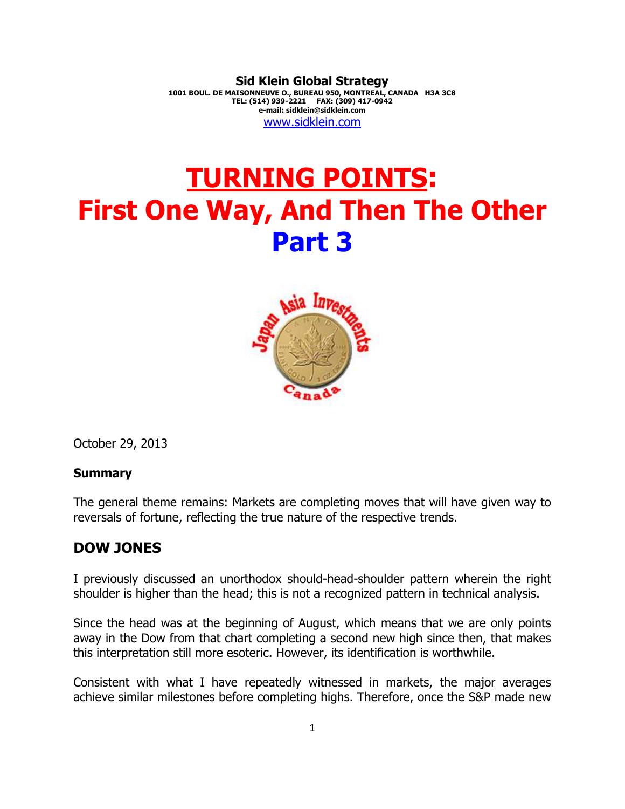**Sid Klein Global Strategy 1001 BOUL. DE MAISONNEUVE O., BUREAU 950, MONTREAL, CANADA H3A 3C8 TEL: (514) 939-2221 FAX: (309) 417-0942 e-mail: sidklein@sidklein.com**  www.sidklein.com

# **TURNING POINTS: First One Way, And Then The Other Part 3**



October 29, 2013

#### **Summary**

The general theme remains: Markets are completing moves that will have given way to reversals of fortune, reflecting the true nature of the respective trends.

## **DOW JONES**

I previously discussed an unorthodox should-head-shoulder pattern wherein the right shoulder is higher than the head; this is not a recognized pattern in technical analysis.

Since the head was at the beginning of August, which means that we are only points away in the Dow from that chart completing a second new high since then, that makes this interpretation still more esoteric. However, its identification is worthwhile.

Consistent with what I have repeatedly witnessed in markets, the major averages achieve similar milestones before completing highs. Therefore, once the S&P made new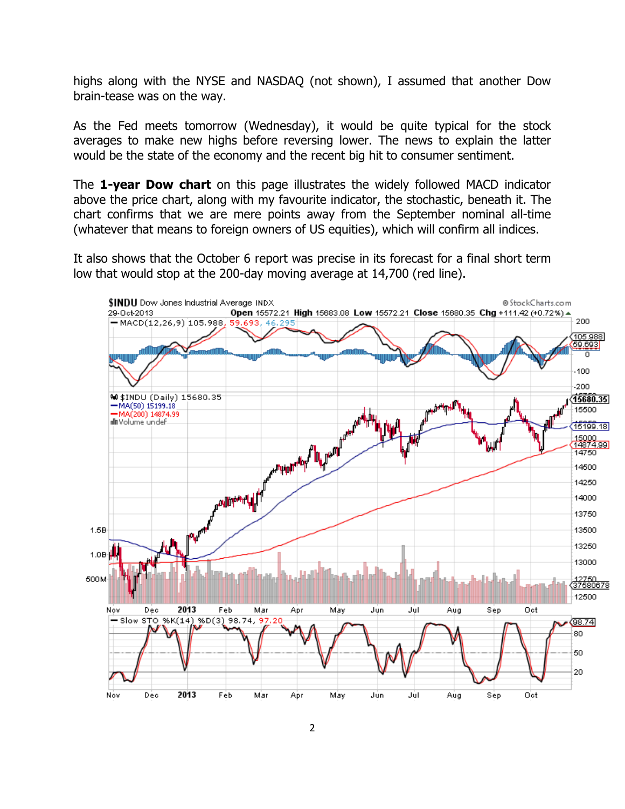highs along with the NYSE and NASDAQ (not shown), I assumed that another Dow brain-tease was on the way.

As the Fed meets tomorrow (Wednesday), it would be quite typical for the stock averages to make new highs before reversing lower. The news to explain the latter would be the state of the economy and the recent big hit to consumer sentiment.

The **1-year Dow chart** on this page illustrates the widely followed MACD indicator above the price chart, along with my favourite indicator, the stochastic, beneath it. The chart confirms that we are mere points away from the September nominal all-time (whatever that means to foreign owners of US equities), which will confirm all indices.

It also shows that the October 6 report was precise in its forecast for a final short term low that would stop at the 200-day moving average at 14,700 (red line).

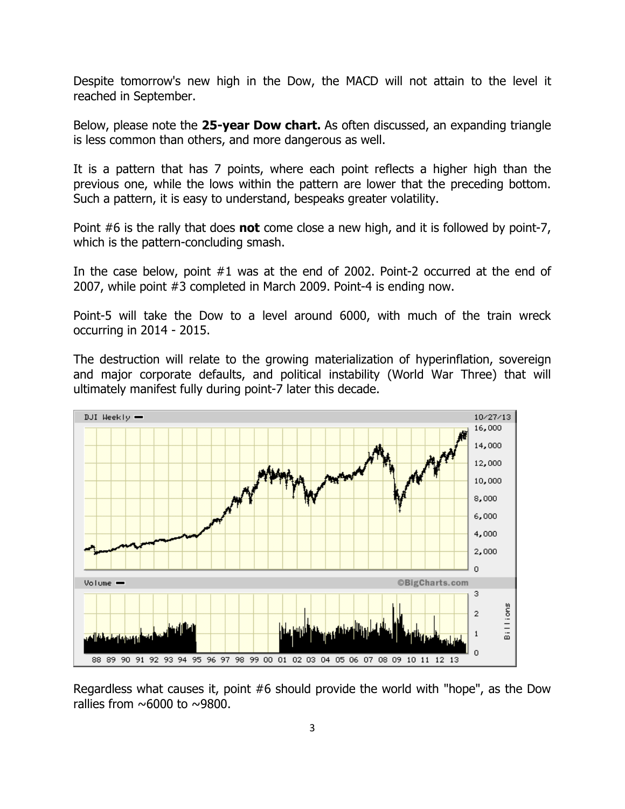Despite tomorrow's new high in the Dow, the MACD will not attain to the level it reached in September.

Below, please note the **25-year Dow chart.** As often discussed, an expanding triangle is less common than others, and more dangerous as well.

It is a pattern that has 7 points, where each point reflects a higher high than the previous one, while the lows within the pattern are lower that the preceding bottom. Such a pattern, it is easy to understand, bespeaks greater volatility.

Point #6 is the rally that does **not** come close a new high, and it is followed by point-7, which is the pattern-concluding smash.

In the case below, point #1 was at the end of 2002. Point-2 occurred at the end of 2007, while point #3 completed in March 2009. Point-4 is ending now.

Point-5 will take the Dow to a level around 6000, with much of the train wreck occurring in 2014 - 2015.

The destruction will relate to the growing materialization of hyperinflation, sovereign and major corporate defaults, and political instability (World War Three) that will ultimately manifest fully during point-7 later this decade.



Regardless what causes it, point #6 should provide the world with "hope", as the Dow rallies from  $\sim$  6000 to  $\sim$  9800.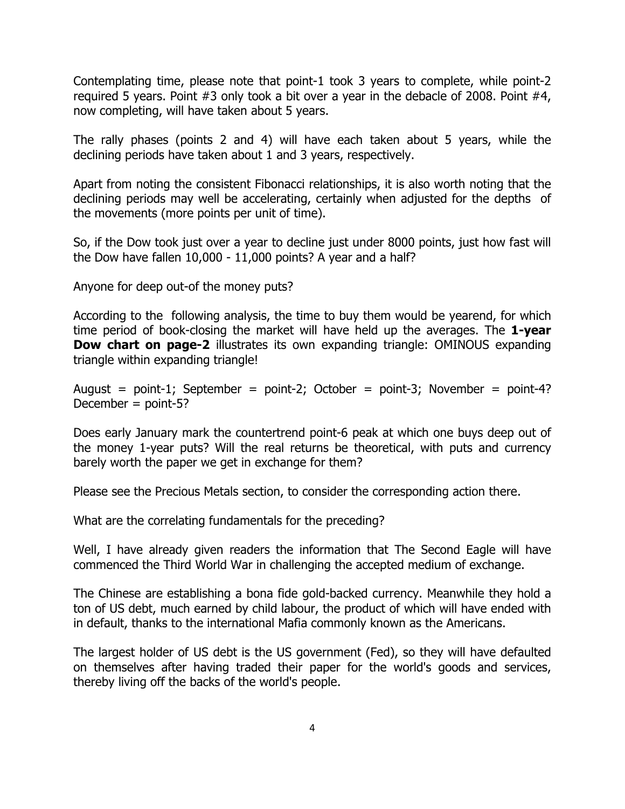Contemplating time, please note that point-1 took 3 years to complete, while point-2 required 5 years. Point #3 only took a bit over a year in the debacle of 2008. Point #4, now completing, will have taken about 5 years.

The rally phases (points 2 and 4) will have each taken about 5 years, while the declining periods have taken about 1 and 3 years, respectively.

Apart from noting the consistent Fibonacci relationships, it is also worth noting that the declining periods may well be accelerating, certainly when adjusted for the depths of the movements (more points per unit of time).

So, if the Dow took just over a year to decline just under 8000 points, just how fast will the Dow have fallen 10,000 - 11,000 points? A year and a half?

Anyone for deep out-of the money puts?

According to the following analysis, the time to buy them would be yearend, for which time period of book-closing the market will have held up the averages. The **1-year Dow chart on page-2** illustrates its own expanding triangle: OMINOUS expanding triangle within expanding triangle!

August = point-1; September = point-2; October = point-3; November = point-4? December = point-5?

Does early January mark the countertrend point-6 peak at which one buys deep out of the money 1-year puts? Will the real returns be theoretical, with puts and currency barely worth the paper we get in exchange for them?

Please see the Precious Metals section, to consider the corresponding action there.

What are the correlating fundamentals for the preceding?

Well, I have already given readers the information that The Second Eagle will have commenced the Third World War in challenging the accepted medium of exchange.

The Chinese are establishing a bona fide gold-backed currency. Meanwhile they hold a ton of US debt, much earned by child labour, the product of which will have ended with in default, thanks to the international Mafia commonly known as the Americans.

The largest holder of US debt is the US government (Fed), so they will have defaulted on themselves after having traded their paper for the world's goods and services, thereby living off the backs of the world's people.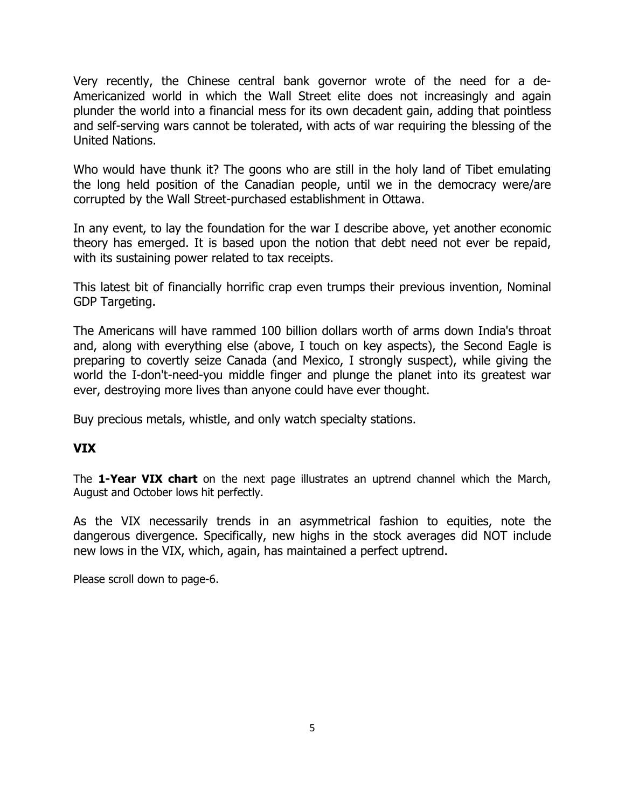Very recently, the Chinese central bank governor wrote of the need for a de-Americanized world in which the Wall Street elite does not increasingly and again plunder the world into a financial mess for its own decadent gain, adding that pointless and self-serving wars cannot be tolerated, with acts of war requiring the blessing of the United Nations.

Who would have thunk it? The goons who are still in the holy land of Tibet emulating the long held position of the Canadian people, until we in the democracy were/are corrupted by the Wall Street-purchased establishment in Ottawa.

In any event, to lay the foundation for the war I describe above, yet another economic theory has emerged. It is based upon the notion that debt need not ever be repaid, with its sustaining power related to tax receipts.

This latest bit of financially horrific crap even trumps their previous invention, Nominal GDP Targeting.

The Americans will have rammed 100 billion dollars worth of arms down India's throat and, along with everything else (above, I touch on key aspects), the Second Eagle is preparing to covertly seize Canada (and Mexico, I strongly suspect), while giving the world the I-don't-need-you middle finger and plunge the planet into its greatest war ever, destroying more lives than anyone could have ever thought.

Buy precious metals, whistle, and only watch specialty stations.

## **VIX**

The **1-Year VIX chart** on the next page illustrates an uptrend channel which the March, August and October lows hit perfectly.

As the VIX necessarily trends in an asymmetrical fashion to equities, note the dangerous divergence. Specifically, new highs in the stock averages did NOT include new lows in the VIX, which, again, has maintained a perfect uptrend.

Please scroll down to page-6.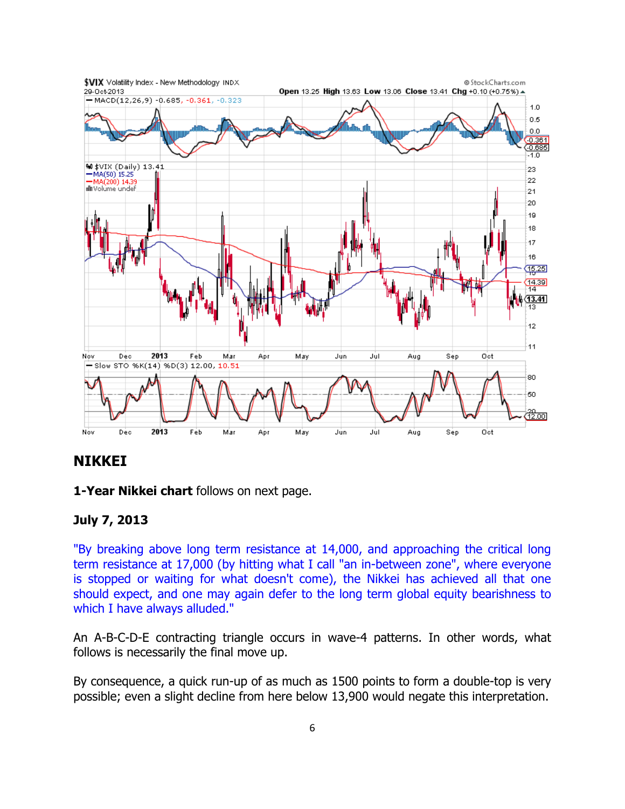

## **NIKKEI**

**1-Year Nikkei chart** follows on next page.

## **July 7, 2013**

"By breaking above long term resistance at 14,000, and approaching the critical long term resistance at 17,000 (by hitting what I call "an in-between zone", where everyone is stopped or waiting for what doesn't come), the Nikkei has achieved all that one should expect, and one may again defer to the long term global equity bearishness to which I have always alluded."

An A-B-C-D-E contracting triangle occurs in wave-4 patterns. In other words, what follows is necessarily the final move up.

By consequence, a quick run-up of as much as 1500 points to form a double-top is very possible; even a slight decline from here below 13,900 would negate this interpretation.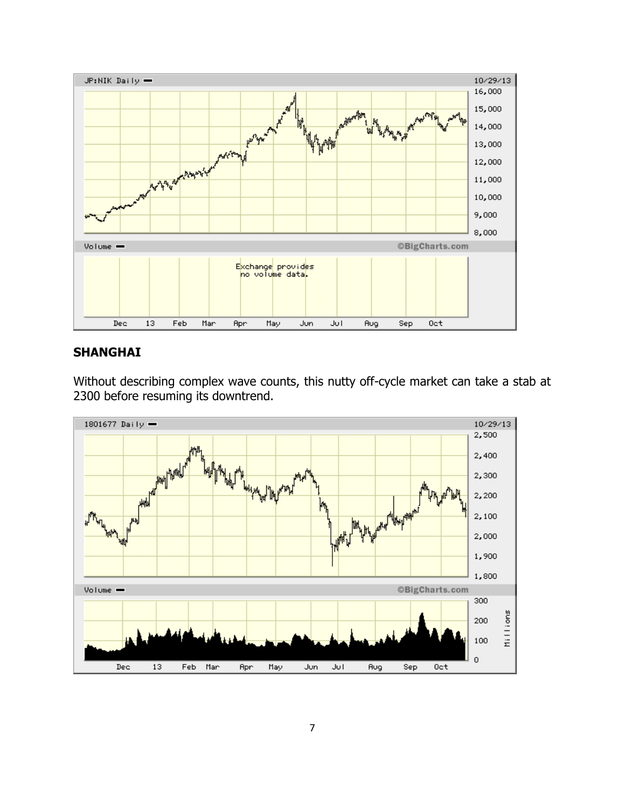

#### **SHANGHAI**

Without describing complex wave counts, this nutty off-cycle market can take a stab at 2300 before resuming its downtrend.

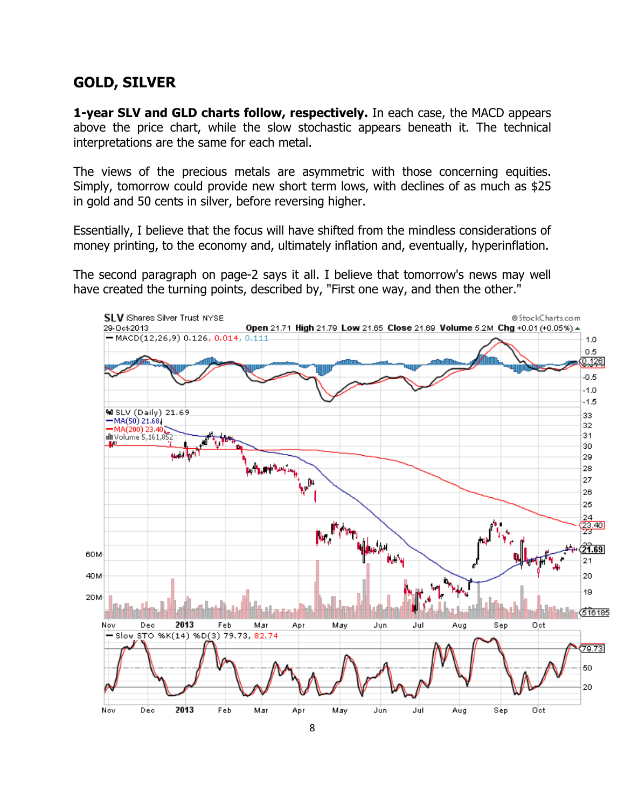# **GOLD, SILVER**

**1-year SLV and GLD charts follow, respectively.** In each case, the MACD appears above the price chart, while the slow stochastic appears beneath it. The technical interpretations are the same for each metal.

The views of the precious metals are asymmetric with those concerning equities. Simply, tomorrow could provide new short term lows, with declines of as much as \$25 in gold and 50 cents in silver, before reversing higher.

Essentially, I believe that the focus will have shifted from the mindless considerations of money printing, to the economy and, ultimately inflation and, eventually, hyperinflation.

The second paragraph on page-2 says it all. I believe that tomorrow's news may well have created the turning points, described by, "First one way, and then the other."

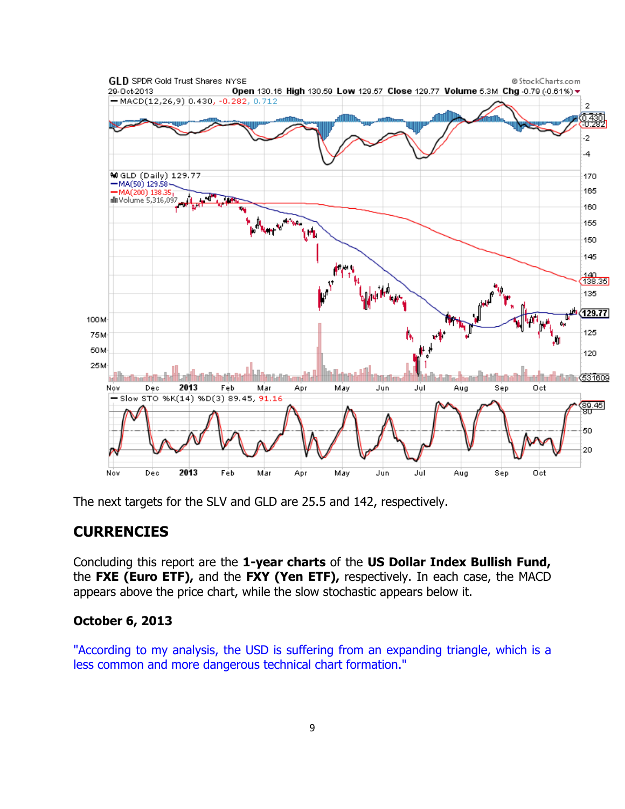

The next targets for the SLV and GLD are 25.5 and 142, respectively.

## **CURRENCIES**

Concluding this report are the **1-year charts** of the **US Dollar Index Bullish Fund,** the **FXE (Euro ETF),** and the **FXY (Yen ETF),** respectively. In each case, the MACD appears above the price chart, while the slow stochastic appears below it.

#### **October 6, 2013**

"According to my analysis, the USD is suffering from an expanding triangle, which is a less common and more dangerous technical chart formation."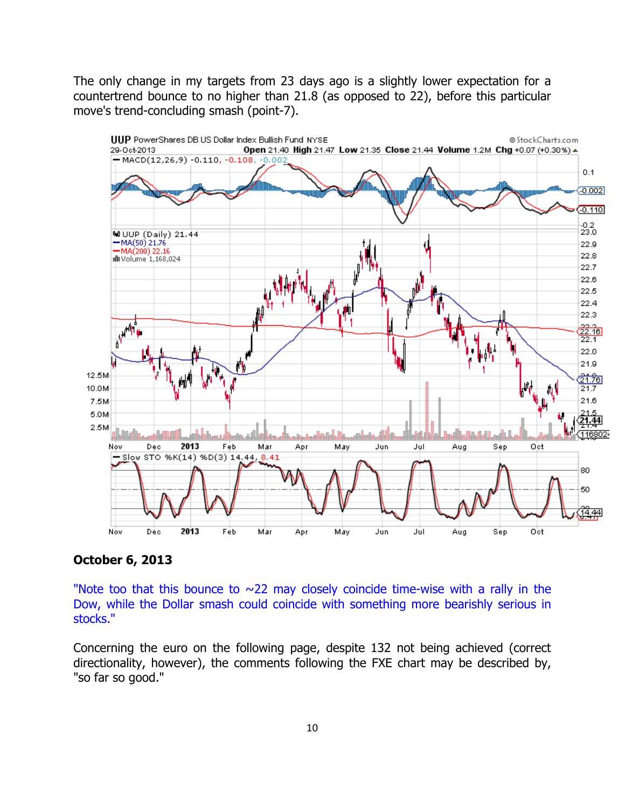The only change in my targets from 23 days ago is a slightly lower expectation for a countertrend bounce to no higher than 21.8 (as opposed to 22), before this particular move's trend-concluding smash (point-7).



#### **October 6, 2013**

"Note too that this bounce to  $\sim$ 22 may closely coincide time-wise with a rally in the Dow, while the Dollar smash could coincide with something more bearishly serious in stocks."

Concerning the euro on the following page, despite 132 not being achieved (correct directionality, however), the comments following the FXE chart may be described by, "so far so good."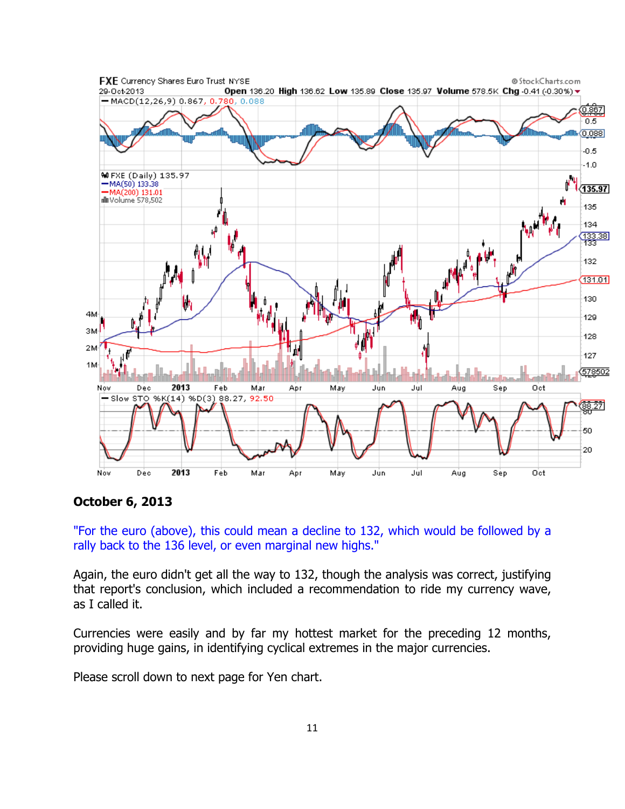

**October 6, 2013** 

"For the euro (above), this could mean a decline to 132, which would be followed by a rally back to the 136 level, or even marginal new highs."

Again, the euro didn't get all the way to 132, though the analysis was correct, justifying that report's conclusion, which included a recommendation to ride my currency wave, as I called it.

Currencies were easily and by far my hottest market for the preceding 12 months, providing huge gains, in identifying cyclical extremes in the major currencies.

Please scroll down to next page for Yen chart.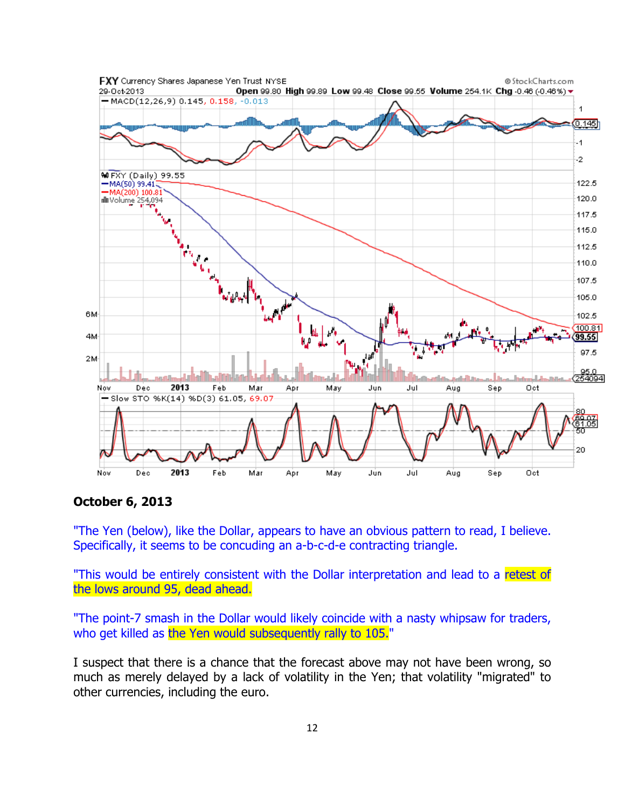

**October 6, 2013** 

"The Yen (below), like the Dollar, appears to have an obvious pattern to read, I believe. Specifically, it seems to be concuding an a-b-c-d-e contracting triangle.

"This would be entirely consistent with the Dollar interpretation and lead to a retest of the lows around 95, dead ahead.

"The point-7 smash in the Dollar would likely coincide with a nasty whipsaw for traders, who get killed as the Yen would subsequently rally to 105."

I suspect that there is a chance that the forecast above may not have been wrong, so much as merely delayed by a lack of volatility in the Yen; that volatility "migrated" to other currencies, including the euro.